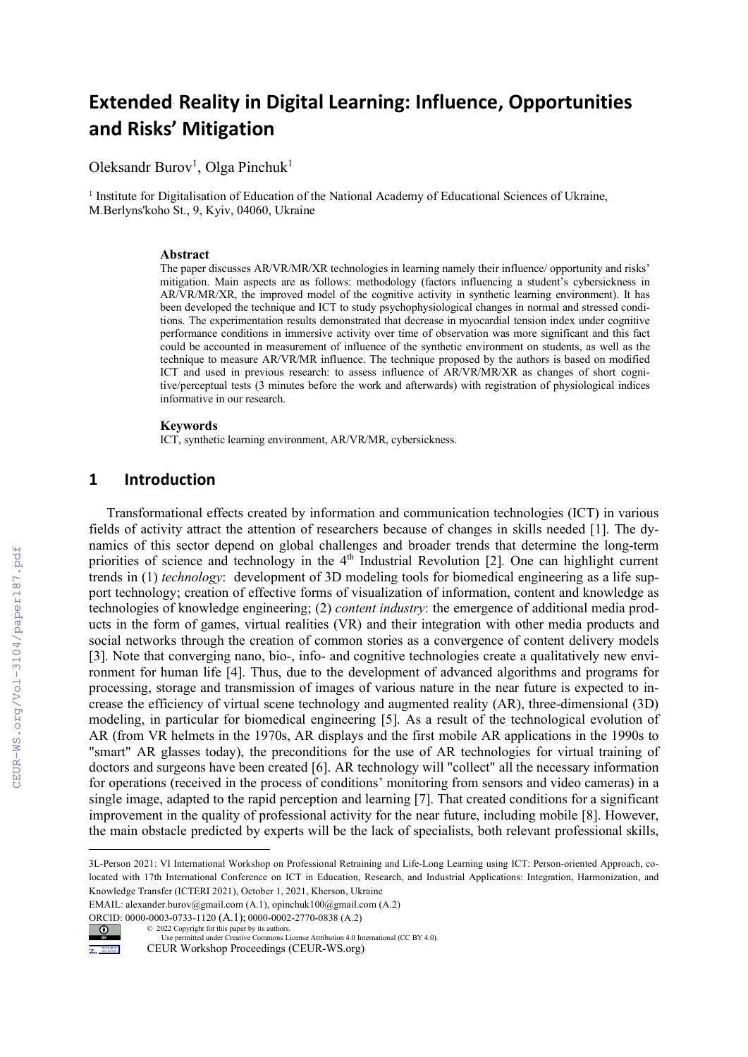# Extended\* Reality in Digital Learning: Influence, Opportunities and Risks' Mitigation

Oleksandr Burov<sup>1</sup>, Olga Pinchuk<sup>1</sup>

<sup>1</sup> Institute for Digitalisation of Education of the National Academy of Educational Sciences of Ukraine, M.Berlyns'koho St., 9, Kyiv, 04060, Ukraine

#### Abstract

The paper discusses AR/VR/MR/XR technologies in learning namely their influence/ opportunity and risks' mitigation. Main aspects are as follows: methodology (factors influencing a student's cybersickness in AR/VR/MR/XR, the improved model of the cognitive activity in synthetic learning environment). It has been developed the technique and ICT to study psychophysiological changes in normal and stressed conditions. The experimentation results demonstrated that decrease in myocardial tension index under cognitive performance conditions in immersive activity over time of observation was more significant and this fact could be accounted in measurement of influence of the synthetic environment on students, as well as the technique to measure AR/VR/MR influence. The technique proposed by the authors is based on modified ICT and used in previous research: to assess influence of AR/VR/MR/XR as changes of short cognitive/perceptual tests (3 minutes before the work and afterwards) with registration of physiological indices informative in our research.

#### Keywords

ICT, synthetic learning environment, AR/VR/MR, cybersickness.

### 1 Introduction

Transformational effects created by information and communication technologies (ICT) in various fields of activity attract the attention of researchers because of changes in skills needed [1]. The dynamics of this sector depend on global challenges and broader trends that determine the long-term priorities of science and technology in the 4<sup>th</sup> Industrial Revolution [2]. One can highlight current trends in (1) *technology*: development of 3D modeling tools for biomedical engineering as a life support technology; creation of effective forms of visualization of information, content and knowledge as technologies of knowledge engineering; (2) *content industry*: the emergence of additional media products in the form of games, virtual realities (VR) and their integration with other media products and social networks through the creation of common stories as a convergence of content delivery models [3]. Note that converging nano, bio-, info- and cognitive technologies create a qualitatively new environment for human life [4]. Thus, due to the development of advanced algorithms and programs for processing, storage and transmission of images of various nature in the near future is expected to increase the efficiency of virtual scene technology and augmented reality (AR), three-dimensional (3D) modeling, in particular for biomedical engineering [5]. As a result of the technological evolution of AR (from VR helmets in the 1970s, AR displays and the first mobile AR applications in the 1990s to "smart" AR glasses today), the preconditions for the use of AR technologies for virtual training of doctors and surgeons have been created [6]. AR technology will "collect" all the necessary information for operations (received in the process of conditions' monitoring from sensors and video cameras) in a single image, adapted to the rapid perception and learning [7]. That created conditions for a significant improvement in the quality of professional activity for the near future, including mobile [8]. However, the main obstacle predicted by experts will be the lack of specialists, both relevant professional skills,

EMAIL: alexander.burov@gmail.com (A.1), opinchuk100@gmail.com (A.2)

ORCID: 0000-0003-0733-1120 (A.1); 0000-0002-2770-0838 (A.2)



<sup>© 2022</sup> Copyright for this paper by its authors. Use permitted under Creative Commons License Attribution 4.0 International (CC BY 4.0). CEUR Workshop Proceedings (CEUR-WS.org)

<sup>3</sup>L-Person 2021: VI International Workshop on Professional Retraining and Life-Long Learning using ICT: Person-oriented Approach, colocated with 17th International Conference on ICT in Education, Research, and Industrial Applications: Integration, Harmonization, and Knowledge Transfer (ICTERI 2021), October 1, 2021, Kherson, Ukraine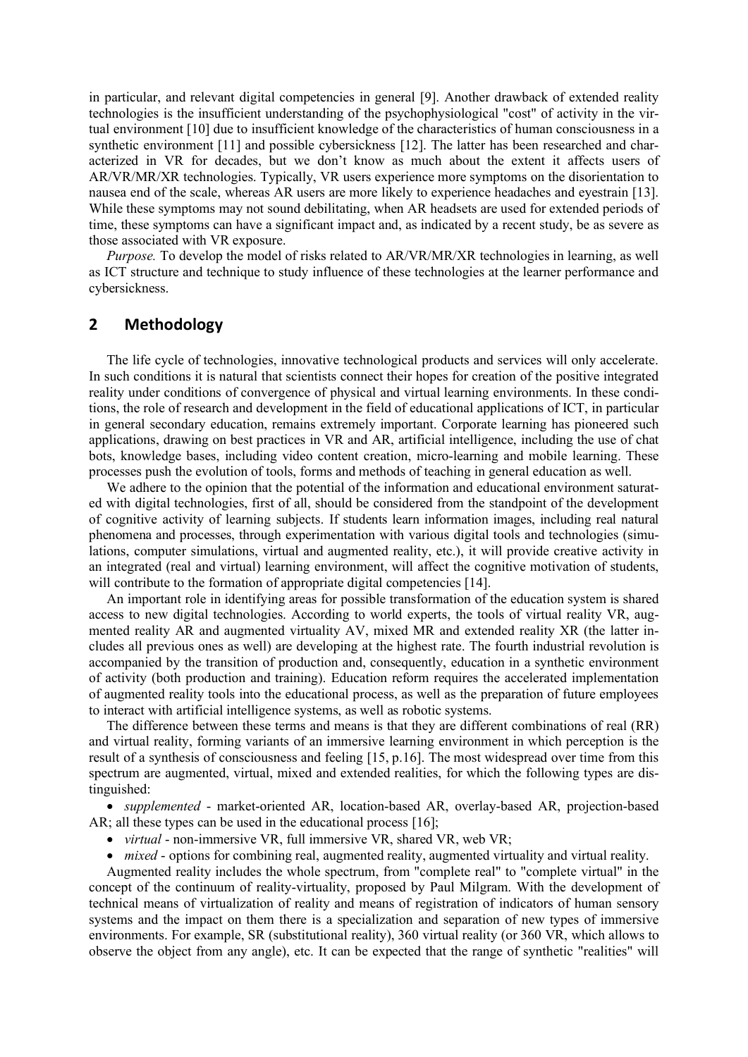in particular, and relevant digital competencies in general [9]. Another drawback of extended reality technologies is the insufficient understanding of the psychophysiological "cost" of activity in the virtual environment [10] due to insufficient knowledge of the characteristics of human consciousness in a synthetic environment [11] and possible cybersickness [12]. The latter has been researched and characterized in VR for decades, but we don't know as much about the extent it affects users of AR/VR/MR/XR technologies. Typically, VR users experience more symptoms on the disorientation to nausea end of the scale, whereas AR users are more likely to experience headaches and eyestrain [13]. While these symptoms may not sound debilitating, when AR headsets are used for extended periods of time, these symptoms can have a significant impact and, as indicated by a recent study, be as severe as those associated with VR exposure.

*Purpose.* To develop the model of risks related to AR/VR/MR/XR technologies in learning, as well as ICT structure and technique to study influence of these technologies at the learner performance and cybersickness.

# 2 Methodology

The life cycle of technologies, innovative technological products and services will only accelerate. In such conditions it is natural that scientists connect their hopes for creation of the positive integrated reality under conditions of convergence of physical and virtual learning environments. In these conditions, the role of research and development in the field of educational applications of ICT, in particular in general secondary education, remains extremely important. Corporate learning has pioneered such applications, drawing on best practices in VR and AR, artificial intelligence, including the use of chat bots, knowledge bases, including video content creation, micro-learning and mobile learning. These processes push the evolution of tools, forms and methods of teaching in general education as well.

We adhere to the opinion that the potential of the information and educational environment saturated with digital technologies, first of all, should be considered from the standpoint of the development of cognitive activity of learning subjects. If students learn information images, including real natural phenomena and processes, through experimentation with various digital tools and technologies (simulations, computer simulations, virtual and augmented reality, etc.), it will provide creative activity in an integrated (real and virtual) learning environment, will affect the cognitive motivation of students, will contribute to the formation of appropriate digital competencies [14].

An important role in identifying areas for possible transformation of the education system is shared access to new digital technologies. According to world experts, the tools of virtual reality VR, augmented reality AR and augmented virtuality AV, mixed MR and extended reality XR (the latter includes all previous ones as well) are developing at the highest rate. The fourth industrial revolution is accompanied by the transition of production and, consequently, education in a synthetic environment of activity (both production and training). Education reform requires the accelerated implementation of augmented reality tools into the educational process, as well as the preparation of future employees to interact with artificial intelligence systems, as well as robotic systems.

The difference between these terms and means is that they are different combinations of real (RR) and virtual reality, forming variants of an immersive learning environment in which perception is the result of a synthesis of consciousness and feeling [15, p.16]. The most widespread over time from this spectrum are augmented, virtual, mixed and extended realities, for which the following types are distinguished:

 *supplemented* - market-oriented AR, location-based AR, overlay-based AR, projection-based AR; all these types can be used in the educational process [16];

*virtual* - non-immersive VR, full immersive VR, shared VR, web VR;

• *mixed* - options for combining real, augmented reality, augmented virtuality and virtual reality.

Augmented reality includes the whole spectrum, from "complete real" to "complete virtual" in the concept of the continuum of reality-virtuality, proposed by Paul Milgram. With the development of technical means of virtualization of reality and means of registration of indicators of human sensory systems and the impact on them there is a specialization and separation of new types of immersive environments. For example, SR (substitutional reality), 360 virtual reality (or 360 VR, which allows to observe the object from any angle), etc. It can be expected that the range of synthetic "realities" will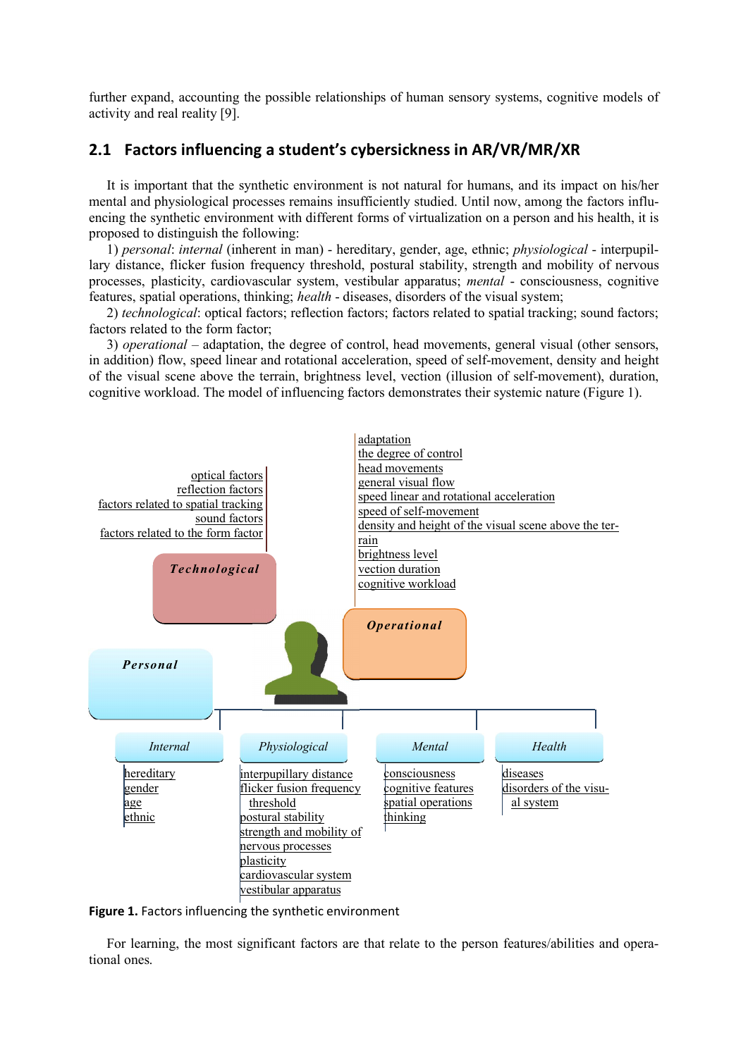further expand, accounting the possible relationships of human sensory systems, cognitive models of activity and real reality [9].

# 2.1 Factors influencing a student's cybersickness in AR/VR/MR/XR

It is important that the synthetic environment is not natural for humans, and its impact on his/her mental and physiological processes remains insufficiently studied. Until now, among the factors influencing the synthetic environment with different forms of virtualization on a person and his health, it is proposed to distinguish the following:

1) *personal*: *internal* (inherent in man) - hereditary, gender, age, ethnic; *physiological* - interpupillary distance, flicker fusion frequency threshold, postural stability, strength and mobility of nervous processes, plasticity, cardiovascular system, vestibular apparatus; *mental* - consciousness, cognitive features, spatial operations, thinking; *health* - diseases, disorders of the visual system;

2) *technological*: optical factors; reflection factors; factors related to spatial tracking; sound factors; factors related to the form factor;

3) *operational* – adaptation, the degree of control, head movements, general visual (other sensors, in addition) flow, speed linear and rotational acceleration, speed of self-movement, density and height of the visual scene above the terrain, brightness level, vection (illusion of self-movement), duration, cognitive workload. The model of influencing factors demonstrates their systemic nature (Figure 1).



Figure 1. Factors influencing the synthetic environment

For learning, the most significant factors are that relate to the person features/abilities and operational ones.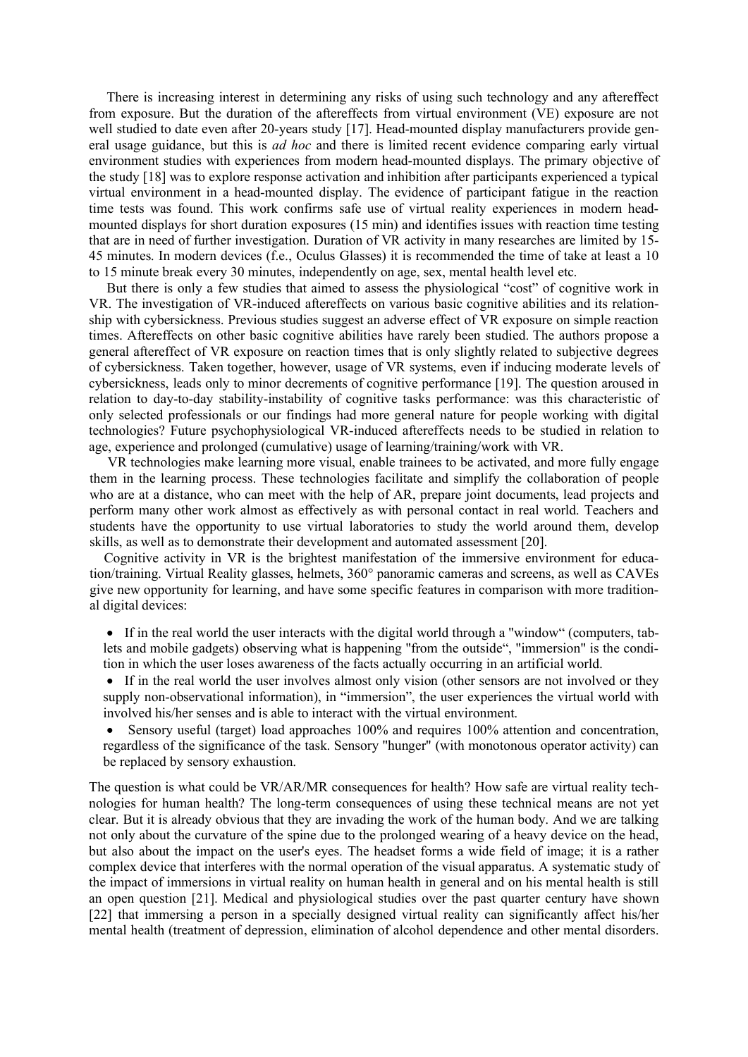There is increasing interest in determining any risks of using such technology and any aftereffect from exposure. But the duration of the aftereffects from virtual environment (VE) exposure are not well studied to date even after 20-years study [17]. Head-mounted display manufacturers provide general usage guidance, but this is *ad hoc* and there is limited recent evidence comparing early virtual environment studies with experiences from modern head-mounted displays. The primary objective of the study [18] was to explore response activation and inhibition after participants experienced a typical virtual environment in a head-mounted display. The evidence of participant fatigue in the reaction time tests was found. This work confirms safe use of virtual reality experiences in modern headmounted displays for short duration exposures (15 min) and identifies issues with reaction time testing that are in need of further investigation. Duration of VR activity in many researches are limited by 15- 45 minutes. In modern devices (f.e., Oculus Glasses) it is recommended the time of take at least a 10 to 15 minute break every 30 minutes, independently on age, sex, mental health level etc.

But there is only a few studies that aimed to assess the physiological "cost" of cognitive work in VR. The investigation of VR-induced aftereffects on various basic cognitive abilities and its relationship with cybersickness. Previous studies suggest an adverse effect of VR exposure on simple reaction times. Aftereffects on other basic cognitive abilities have rarely been studied. The authors propose a general aftereffect of VR exposure on reaction times that is only slightly related to subjective degrees of cybersickness. Taken together, however, usage of VR systems, even if inducing moderate levels of cybersickness, leads only to minor decrements of cognitive performance [19]. The question aroused in relation to day-to-day stability-instability of cognitive tasks performance: was this characteristic of only selected professionals or our findings had more general nature for people working with digital technologies? Future psychophysiological VR-induced aftereffects needs to be studied in relation to age, experience and prolonged (cumulative) usage of learning/training/work with VR.

 VR technologies make learning more visual, enable trainees to be activated, and more fully engage them in the learning process. These technologies facilitate and simplify the collaboration of people who are at a distance, who can meet with the help of AR, prepare joint documents, lead projects and perform many other work almost as effectively as with personal contact in real world. Teachers and students have the opportunity to use virtual laboratories to study the world around them, develop skills, as well as to demonstrate their development and automated assessment [20].

Cognitive activity in VR is the brightest manifestation of the immersive environment for education/training. Virtual Reality glasses, helmets, 360° panoramic cameras and screens, as well as CAVEs give new opportunity for learning, and have some specific features in comparison with more traditional digital devices:

- If in the real world the user interacts with the digital world through a "window" (computers, tablets and mobile gadgets) observing what is happening "from the outside", "immersion" is the condition in which the user loses awareness of the facts actually occurring in an artificial world.
- If in the real world the user involves almost only vision (other sensors are not involved or they supply non-observational information), in "immersion", the user experiences the virtual world with involved his/her senses and is able to interact with the virtual environment.
- Sensory useful (target) load approaches 100% and requires 100% attention and concentration, regardless of the significance of the task. Sensory "hunger" (with monotonous operator activity) can be replaced by sensory exhaustion.

The question is what could be VR/AR/MR consequences for health? How safe are virtual reality technologies for human health? The long-term consequences of using these technical means are not yet clear. But it is already obvious that they are invading the work of the human body. And we are talking not only about the curvature of the spine due to the prolonged wearing of a heavy device on the head, but also about the impact on the user's eyes. The headset forms a wide field of image; it is a rather complex device that interferes with the normal operation of the visual apparatus. A systematic study of the impact of immersions in virtual reality on human health in general and on his mental health is still an open question [21]. Medical and physiological studies over the past quarter century have shown [22] that immersing a person in a specially designed virtual reality can significantly affect his/her mental health (treatment of depression, elimination of alcohol dependence and other mental disorders.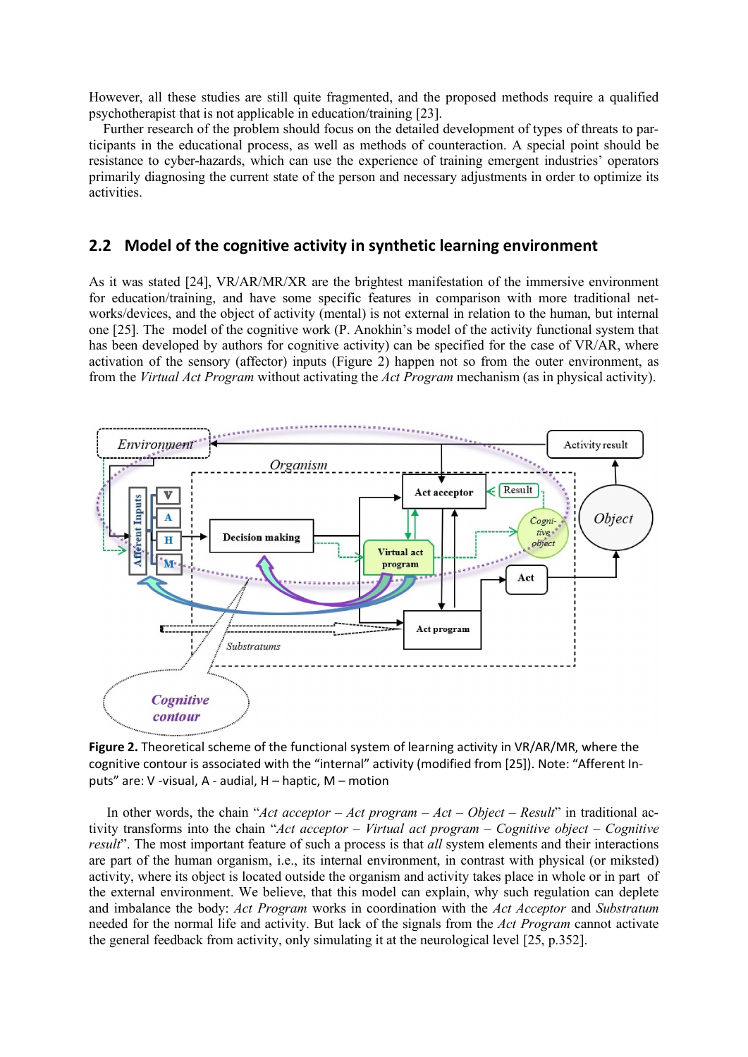However, all these studies are still quite fragmented, and the proposed methods require a qualified psychotherapist that is not applicable in education/training [23].

Further research of the problem should focus on the detailed development of types of threats to participants in the educational process, as well as methods of counteraction. A special point should be resistance to cyber-hazards, which can use the experience of training emergent industries' operators primarily diagnosing the current state of the person and necessary adjustments in order to optimize its activities.

# 2.2 Model of the cognitive activity in synthetic learning environment

As it was stated [24], VR/AR/MR/XR are the brightest manifestation of the immersive environment for education/training, and have some specific features in comparison with more traditional networks/devices, and the object of activity (mental) is not external in relation to the human, but internal one [25]. The model of the cognitive work (P. Anokhin's model of the activity functional system that has been developed by authors for cognitive activity) can be specified for the case of VR/AR, where activation of the sensory (affector) inputs (Figure 2) happen not so from the outer environment, as from the *Virtual Act Program* without activating the *Act Program* mechanism (as in physical activity).



Figure 2. Theoretical scheme of the functional system of learning activity in VR/AR/MR, where the cognitive contour is associated with the "internal" activity (modified from [25]). Note: "Afferent Inputs" are: V -visual, A - audial, H – haptic, M – motion

In other words, the chain "*Act acceptor – Act program – Act – Object – Result*" in traditional activity transforms into the chain "*Act acceptor – Virtual act program – Cognitive object – Cognitive result*". The most important feature of such a process is that *all* system elements and their interactions are part of the human organism, i.e., its internal environment, in contrast with physical (or miksted) activity, where its object is located outside the organism and activity takes place in whole or in part of the external environment. We believe, that this model can explain, why such regulation can deplete and imbalance the body: *Act Program* works in coordination with the *Act Acceptor* and *Substratum* needed for the normal life and activity. But lack of the signals from the *Act Program* cannot activate the general feedback from activity, only simulating it at the neurological level [25, p.352].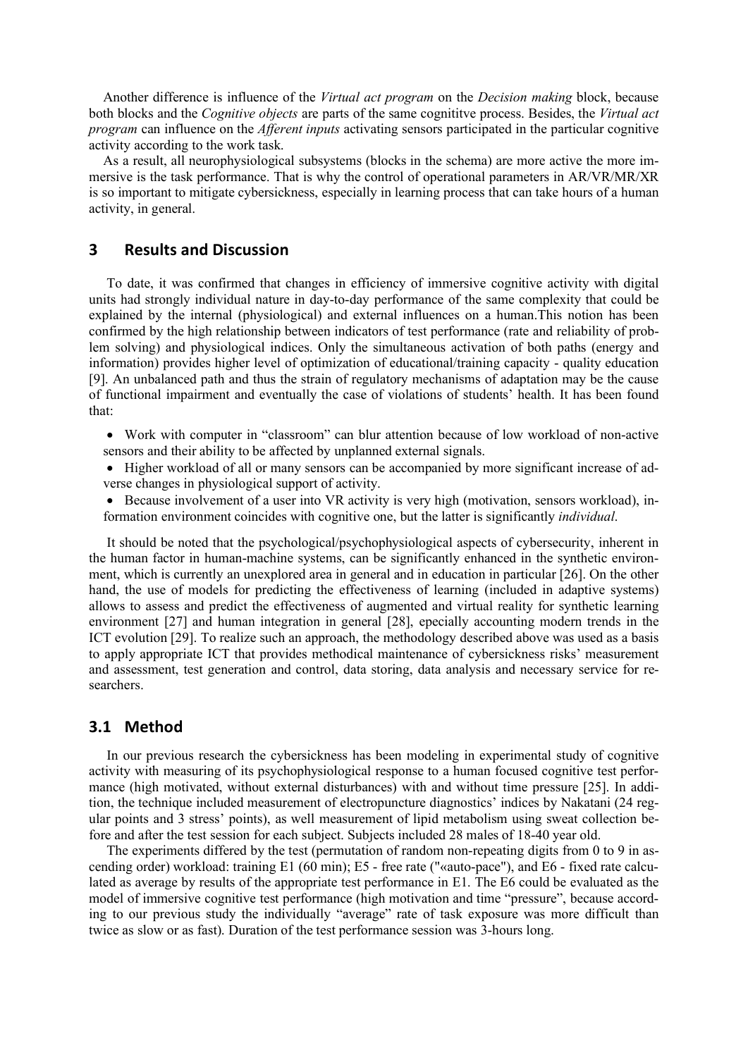Another difference is influence of the *Virtual act program* on the *Decision making* block, because both blocks and the *Cognitive objects* are parts of the same cognititve process. Besides, the *Virtual act program* can influence on the *Afferent inputs* activating sensors participated in the particular cognitive activity according to the work task.

As a result, all neurophysiological subsystems (blocks in the schema) are more active the more immersive is the task performance. That is why the control of operational parameters in AR/VR/MR/XR is so important to mitigate cybersickness, especially in learning process that can take hours of a human activity, in general.

#### 3 Results and Discussion

To date, it was confirmed that changes in efficiency of immersive cognitive activity with digital units had strongly individual nature in day-to-day performance of the same complexity that could be explained by the internal (physiological) and external influences on a human.This notion has been confirmed by the high relationship between indicators of test performance (rate and reliability of problem solving) and physiological indices. Only the simultaneous activation of both paths (energy and information) provides higher level of optimization of educational/training capacity - quality education [9]. An unbalanced path and thus the strain of regulatory mechanisms of adaptation may be the cause of functional impairment and eventually the case of violations of students' health. It has been found that:

- Work with computer in "classroom" can blur attention because of low workload of non-active sensors and their ability to be affected by unplanned external signals.
- Higher workload of all or many sensors can be accompanied by more significant increase of adverse changes in physiological support of activity.
- Because involvement of a user into VR activity is very high (motivation, sensors workload), information environment coincides with cognitive one, but the latter is significantly *individual*.

It should be noted that the psychological/psychophysiological aspects of cybersecurity, inherent in the human factor in human-machine systems, can be significantly enhanced in the synthetic environment, which is currently an unexplored area in general and in education in particular [26]. On the other hand, the use of models for predicting the effectiveness of learning (included in adaptive systems) allows to assess and predict the effectiveness of augmented and virtual reality for synthetic learning environment [27] and human integration in general [28], epecially accounting modern trends in the ICT evolution [29]. To realize such an approach, the methodology described above was used as a basis to apply appropriate ICT that provides methodical maintenance of cybersickness risks' measurement and assessment, test generation and control, data storing, data analysis and necessary service for researchers.

# 3.1 Method

In our previous research the cybersickness has been modeling in experimental study of cognitive activity with measuring of its psychophysiological response to a human focused cognitive test performance (high motivated, without external disturbances) with and without time pressure [25]. In addition, the technique included measurement of electropuncture diagnostics' indices by Nakatani (24 regular points and 3 stress' points), as well measurement of lipid metabolism using sweat collection before and after the test session for each subject. Subjects included 28 males of 18-40 year old.

The experiments differed by the test (permutation of random non-repeating digits from 0 to 9 in ascending order) workload: training Е1 (60 min); Е5 - free rate ("«auto-pace"), and Е6 - fixed rate calculated as average by results of the appropriate test performance in Е1. The E6 could be evaluated as the model of immersive cognitive test performance (high motivation and time "pressure", because according to our previous study the individually "average" rate of task exposure was more difficult than twice as slow or as fast). Duration of the test performance session was 3-hours long.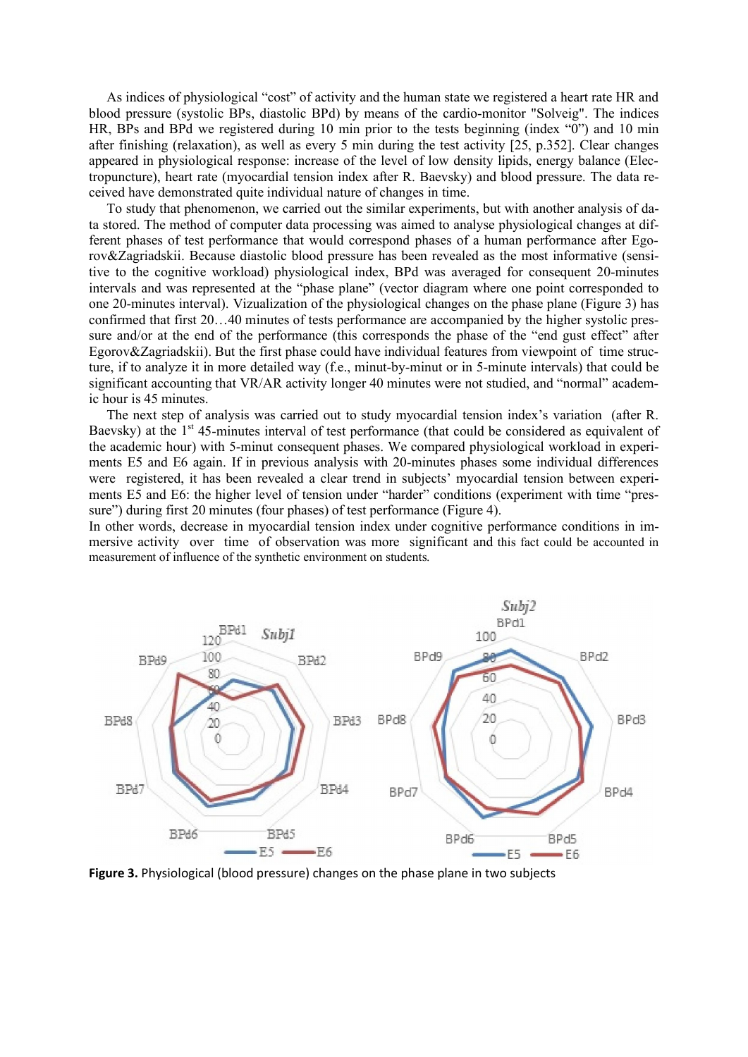As indices of physiological "cost" of activity and the human state we registered a heart rate HR and blood pressure (systolic BPs, diastolic BPd) by means of the cardio-monitor "Solveig". The indices HR, BPs and BPd we registered during 10 min prior to the tests beginning (index "0") and 10 min after finishing (relaxation), as well as every 5 min during the test activity [25, p.352]. Clear changes appeared in physiological response: increase of the level of low density lipids, energy balance (Electropuncture), heart rate (myocardial tension index after R. Baevsky) and blood pressure. The data received have demonstrated quite individual nature of changes in time.

To study that phenomenon, we carried out the similar experiments, but with another analysis of data stored. The method of computer data processing was aimed to analyse physiological changes at different phases of test performance that would correspond phases of a human performance after Egorov&Zagriadskii. Because diastolic blood pressure has been revealed as the most informative (sensitive to the cognitive workload) physiological index, BPd was averaged for consequent 20-minutes intervals and was represented at the "phase plane" (vector diagram where one point corresponded to one 20-minutes interval). Vizualization of the physiological changes on the phase plane (Figure 3) has confirmed that first 20…40 minutes of tests performance are accompanied by the higher systolic pressure and/or at the end of the performance (this corresponds the phase of the "end gust effect" after Egorov&Zagriadskii). But the first phase could have individual features from viewpoint of time structure, if to analyze it in more detailed way (f.e., minut-by-minut or in 5-minute intervals) that could be significant accounting that VR/AR activity longer 40 minutes were not studied, and "normal" academic hour is 45 minutes.

The next step of analysis was carried out to study myocardial tension index's variation (after R. Baevsky) at the  $1<sup>st</sup>$  45-minutes interval of test performance (that could be considered as equivalent of the academic hour) with 5-minut consequent phases. We compared physiological workload in experiments E5 and E6 again. If in previous analysis with 20-minutes phases some individual differences were registered, it has been revealed a clear trend in subjects' myocardial tension between experiments E5 and E6: the higher level of tension under "harder" conditions (experiment with time "pressure") during first 20 minutes (four phases) of test performance (Figure 4).

In other words, decrease in myocardial tension index under cognitive performance conditions in immersive activity over time of observation was more significant and this fact could be accounted in measurement of influence of the synthetic environment on students.



Figure 3. Physiological (blood pressure) changes on the phase plane in two subjects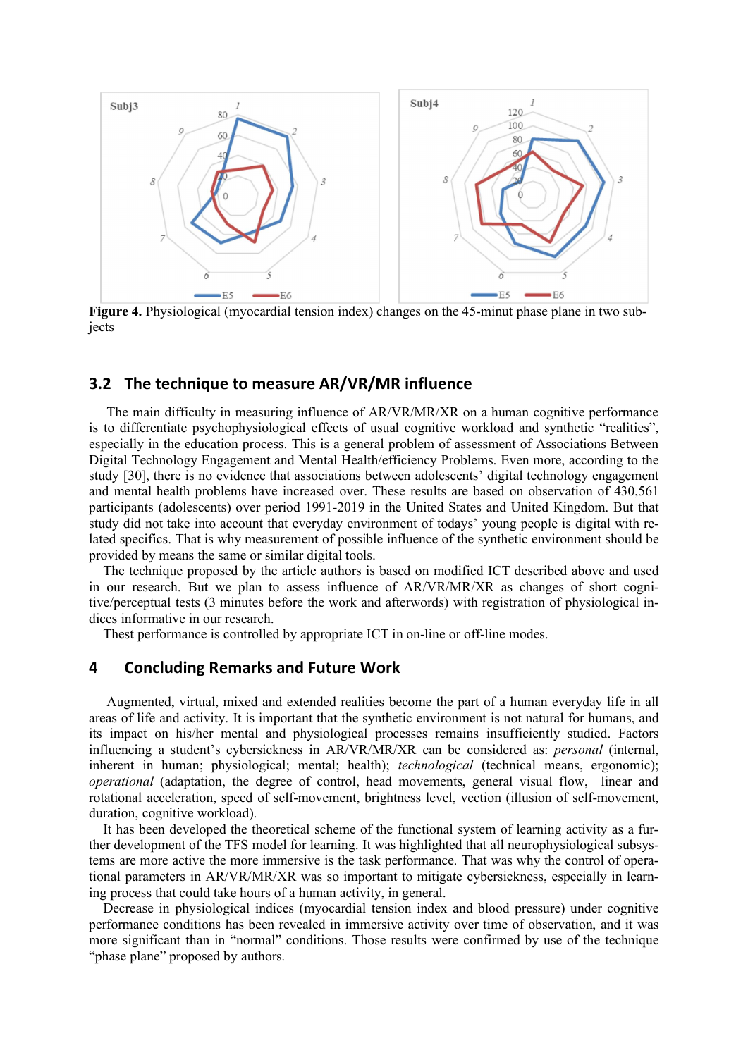

Figure 4. Physiological (myocardial tension index) changes on the 45-minut phase plane in two subjects

### 3.2 The technique to measure AR/VR/MR influence

The main difficulty in measuring influence of AR/VR/MR/XR on a human cognitive performance is to differentiate psychophysiological effects of usual cognitive workload and synthetic "realities", especially in the education process. This is a general problem of assessment of Associations Between Digital Technology Engagement and Mental Health/efficiency Problems. Even more, according to the study [30], there is no evidence that associations between adolescents' digital technology engagement and mental health problems have increased over. These results are based on observation of 430,561 participants (adolescents) over period 1991-2019 in the United States and United Kingdom. But that study did not take into account that everyday environment of todays' young people is digital with related specifics. That is why measurement of possible influence of the synthetic environment should be provided by means the same or similar digital tools.

The technique proposed by the article authors is based on modified ICT described above and used in our research. But we plan to assess influence of AR/VR/MR/XR as changes of short cognitive/perceptual tests (3 minutes before the work and afterwords) with registration of physiological indices informative in our research.

Thest performance is controlled by appropriate ICT in on-line or off-line modes.

# 4 Concluding Remarks and Future Work

Augmented, virtual, mixed and extended realities become the part of a human everyday life in all areas of life and activity. It is important that the synthetic environment is not natural for humans, and its impact on his/her mental and physiological processes remains insufficiently studied. Factors influencing a student's cybersickness in AR/VR/MR/XR can be considered as: *personal* (internal, inherent in human; physiological; mental; health); *technological* (technical means, ergonomic); *operational* (adaptation, the degree of control, head movements, general visual flow, linear and rotational acceleration, speed of self-movement, brightness level, vection (illusion of self-movement, duration, cognitive workload).

It has been developed the theoretical scheme of the functional system of learning activity as a further development of the TFS model for learning. It was highlighted that all neurophysiological subsystems are more active the more immersive is the task performance. That was why the control of operational parameters in AR/VR/MR/XR was so important to mitigate cybersickness, especially in learning process that could take hours of a human activity, in general.

Decrease in physiological indices (myocardial tension index and blood pressure) under cognitive performance conditions has been revealed in immersive activity over time of observation, and it was more significant than in "normal" conditions. Those results were confirmed by use of the technique "phase plane" proposed by authors.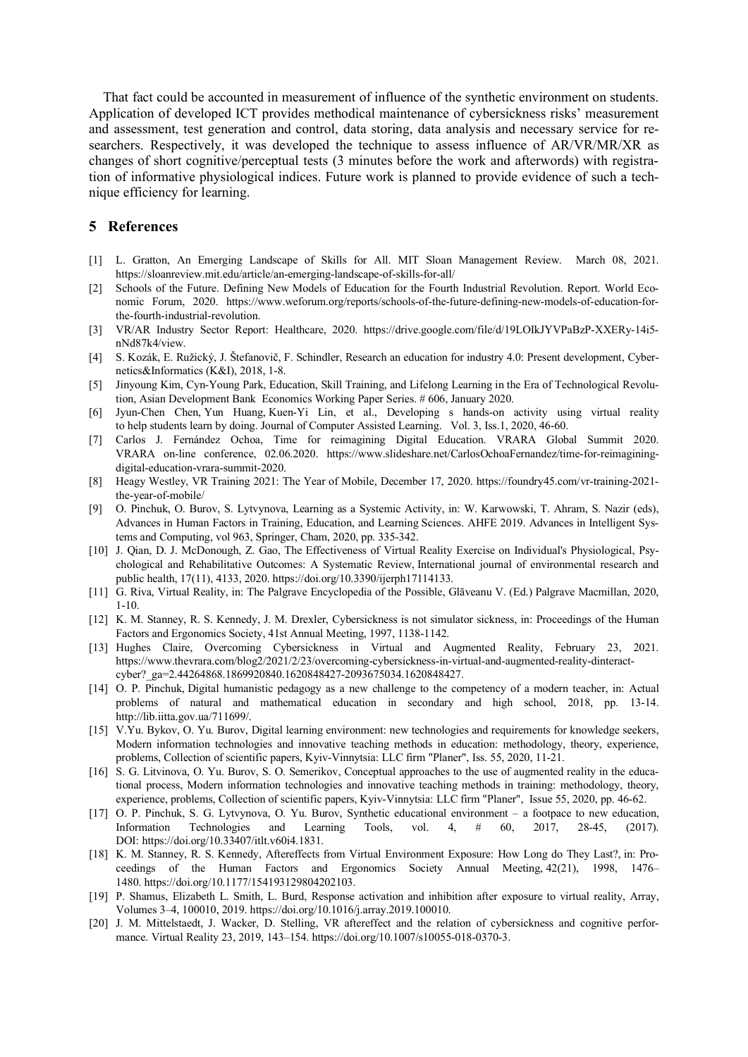That fact could be accounted in measurement of influence of the synthetic environment on students. Application of developed ICT provides methodical maintenance of cybersickness risks' measurement and assessment, test generation and control, data storing, data analysis and necessary service for researchers. Respectively, it was developed the technique to assess influence of AR/VR/MR/XR as changes of short cognitive/perceptual tests (3 minutes before the work and afterwords) with registration of informative physiological indices. Future work is planned to provide evidence of such a technique efficiency for learning.

#### 5 References

- [1] L. Gratton, An Emerging Landscape of Skills for All. MIT Sloan Management Review. March 08, 2021. https://sloanreview.mit.edu/article/an-emerging-landscape-of-skills-for-all/
- [2] Schools of the Future. Defining New Models of Education for the Fourth Industrial Revolution. Report. World Economic Forum, 2020. https://www.weforum.org/reports/schools-of-the-future-defining-new-models-of-education-forthe-fourth-industrial-revolution.
- [3] VR/AR Industry Sector Report: Healthcare, 2020. https://drive.google.com/file/d/19LOIkJYVPaBzP-XXERy-14i5 nNd87k4/view.
- [4] S. Kozák, E. Ružický, J. Štefanovič, F. Schindler, Research an education for industry 4.0: Present development, Cybernetics&Informatics (K&I), 2018, 1-8.
- [5] Jinyoung Kim, Cyn-Young Park, Education, Skill Training, and Lifelong Learning in the Era of Technological Revolution, Asian Development Bank Economics Working Paper Series. # 606, January 2020.
- [6] Jyun-Chen Chen, Yun Huang, Kuen-Yi Lin, et al., Developing s hands-on activity using virtual reality to help students learn by doing. Journal of Computer Assisted Learning. Vol. 3, Iss.1, 2020, 46-60.
- [7] Carlos J. Fernández Ochoa, Time for reimagining Digital Education. VRARA Global Summit 2020. VRARA on-line conference, 02.06.2020. https://www.slideshare.net/CarlosOchoaFernandez/time-for-reimaginingdigital-education-vrara-summit-2020.
- [8] Heagy Westley, VR Training 2021: The Year of Mobile, December 17, 2020. https://foundry45.com/vr-training-2021 the-year-of-mobile/
- [9] O. Pinchuk, O. Burov, S. Lytvynova, Learning as a Systemic Activity, in: W. Karwowski, T. Ahram, S. Nazir (eds), Advances in Human Factors in Training, Education, and Learning Sciences. AHFE 2019. Advances in Intelligent Systems and Computing, vol 963, Springer, Cham, 2020, pp. 335-342.
- [10] J. Qian, D. J. McDonough, Z. Gao, The Effectiveness of Virtual Reality Exercise on Individual's Physiological, Psychological and Rehabilitative Outcomes: A Systematic Review, International journal of environmental research and public health, 17(11), 4133, 2020. https://doi.org/10.3390/ijerph17114133.
- [11] G. Riva, Virtual Reality, in: The Palgrave Encyclopedia of the Possible, Glăveanu V. (Ed.) Palgrave Macmillan, 2020, 1-10.
- [12] K. M. Stanney, R. S. Kennedy, J. M. Drexler, Cybersickness is not simulator sickness, in: Proceedings of the Human Factors and Ergonomics Society, 41st Annual Meeting, 1997, 1138-1142.
- [13] Hughes Claire, Overcoming Cybersickness in Virtual and Augmented Reality, February 23, 2021. https://www.thevrara.com/blog2/2021/2/23/overcoming-cybersickness-in-virtual-and-augmented-reality-dinteractcyber?\_ga=2.44264868.1869920840.1620848427-2093675034.1620848427.
- [14] O. P. Pinchuk, Digital humanistic pedagogy as a new challenge to the competency of a modern teacher, in: Actual problems of natural and mathematical education in secondary and high school, 2018, pp. 13-14. http://lib.iitta.gov.ua/711699/.
- [15] V.Yu. Bykov, O. Yu. Burov, Digital learning environment: new technologies and requirements for knowledge seekers, Modern information technologies and innovative teaching methods in education: methodology, theory, experience, problems, Collection of scientific papers, Kyiv-Vinnytsia: LLC firm "Planer", Iss. 55, 2020, 11-21.
- [16] S. G. Litvinova, O. Yu. Burov, S. O. Semerikov, Conceptual approaches to the use of augmented reality in the educational process, Modern information technologies and innovative teaching methods in training: methodology, theory, experience, problems, Collection of scientific papers, Kyiv-Vinnytsia: LLC firm "Planer", Issue 55, 2020, pp. 46-62.
- [17] O. P. Pinchuk, S. G. Lytvynova, O. Yu. Burov, Synthetic educational environment a footpace to new education, Information Technologies and Learning Tools, vol. 4, # 60, 2017, 28-45, (2017). DOI: https://doi.org/10.33407/itlt.v60i4.1831.
- [18] K. M. Stanney, R. S. Kennedy, Aftereffects from Virtual Environment Exposure: How Long do They Last?, in: Proceedings of the Human Factors and Ergonomics Society Annual Meeting, 42(21), 1998, 1476– 1480. https://doi.org/10.1177/154193129804202103.
- [19] P. Shamus, Elizabeth L. Smith, L. Burd, Response activation and inhibition after exposure to virtual reality, Array, Volumes 3–4, 100010, 2019. https://doi.org/10.1016/j.array.2019.100010.
- [20] J. M. Mittelstaedt, J. Wacker, D. Stelling, VR aftereffect and the relation of cybersickness and cognitive performance. Virtual Reality 23, 2019, 143–154. https://doi.org/10.1007/s10055-018-0370-3.